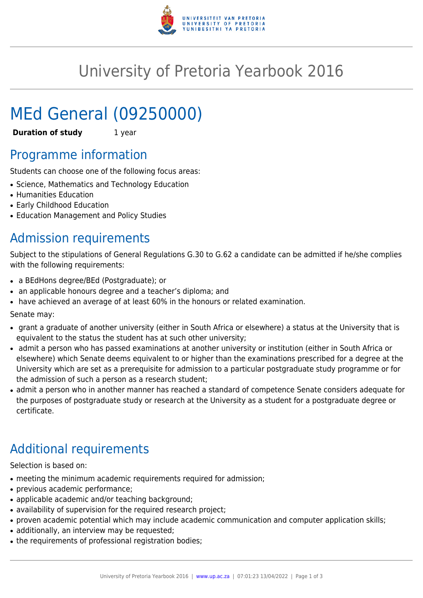

## University of Pretoria Yearbook 2016

# MEd General (09250000)

**Duration of study** 1 year

### Programme information

Students can choose one of the following focus areas:

- Science, Mathematics and Technology Education
- Humanities Education
- Early Childhood Education
- Education Management and Policy Studies

### Admission requirements

Subject to the stipulations of General Regulations G.30 to G.62 a candidate can be admitted if he/she complies with the following requirements:

- a BEdHons degree/BEd (Postgraduate); or
- an applicable honours degree and a teacher's diploma; and
- have achieved an average of at least 60% in the honours or related examination.

Senate may:

- grant a graduate of another university (either in South Africa or elsewhere) a status at the University that is equivalent to the status the student has at such other university;
- admit a person who has passed examinations at another university or institution (either in South Africa or elsewhere) which Senate deems equivalent to or higher than the examinations prescribed for a degree at the University which are set as a prerequisite for admission to a particular postgraduate study programme or for the admission of such a person as a research student;
- admit a person who in another manner has reached a standard of competence Senate considers adequate for the purposes of postgraduate study or research at the University as a student for a postgraduate degree or certificate.

## Additional requirements

Selection is based on:

- meeting the minimum academic requirements required for admission;
- previous academic performance;
- applicable academic and/or teaching background;
- availability of supervision for the required research project;
- proven academic potential which may include academic communication and computer application skills;
- additionally, an interview may be requested;
- the requirements of professional registration bodies;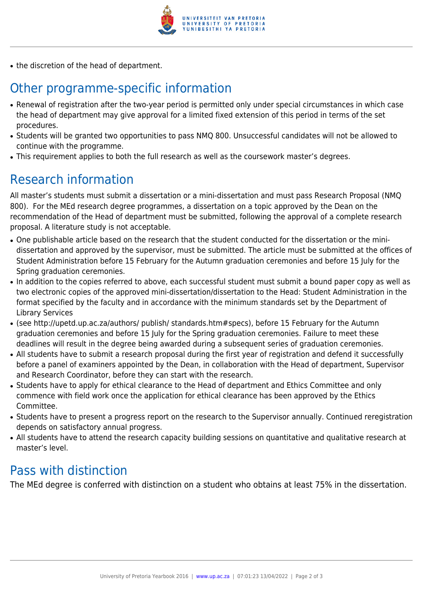

• the discretion of the head of department.

## Other programme-specific information

- Renewal of registration after the two-year period is permitted only under special circumstances in which case the head of department may give approval for a limited fixed extension of this period in terms of the set procedures.
- Students will be granted two opportunities to pass NMQ 800. Unsuccessful candidates will not be allowed to continue with the programme.
- This requirement applies to both the full research as well as the coursework master's degrees.

### Research information

All master's students must submit a dissertation or a mini-dissertation and must pass Research Proposal (NMQ 800). For the MEd research degree programmes, a dissertation on a topic approved by the Dean on the recommendation of the Head of department must be submitted, following the approval of a complete research proposal. A literature study is not acceptable.

- One publishable article based on the research that the student conducted for the dissertation or the minidissertation and approved by the supervisor, must be submitted. The article must be submitted at the offices of Student Administration before 15 February for the Autumn graduation ceremonies and before 15 July for the Spring graduation ceremonies.
- In addition to the copies referred to above, each successful student must submit a bound paper copy as well as two electronic copies of the approved mini-dissertation/dissertation to the Head: Student Administration in the format specified by the faculty and in accordance with the minimum standards set by the Department of Library Services
- (see http://upetd.up.ac.za/authors/ publish/ standards.htm#specs), before 15 February for the Autumn graduation ceremonies and before 15 July for the Spring graduation ceremonies. Failure to meet these deadlines will result in the degree being awarded during a subsequent series of graduation ceremonies.
- All students have to submit a research proposal during the first year of registration and defend it successfully before a panel of examiners appointed by the Dean, in collaboration with the Head of department, Supervisor and Research Coordinator, before they can start with the research.
- Students have to apply for ethical clearance to the Head of department and Ethics Committee and only commence with field work once the application for ethical clearance has been approved by the Ethics Committee.
- Students have to present a progress report on the research to the Supervisor annually. Continued reregistration depends on satisfactory annual progress.
- All students have to attend the research capacity building sessions on quantitative and qualitative research at master's level.

#### Pass with distinction

The MEd degree is conferred with distinction on a student who obtains at least 75% in the dissertation.